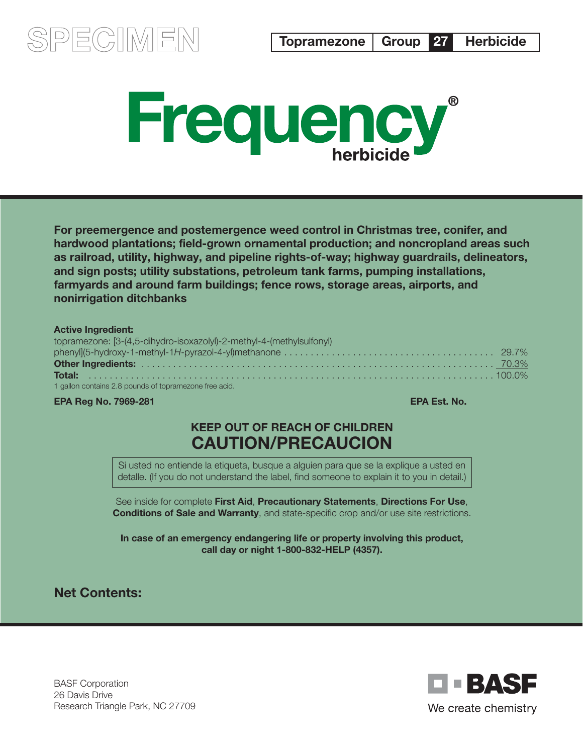



For preemergence and postemergence weed control in Christmas tree, conifer, and hardwood plantations; field-grown ornamental production; and noncropland areas such as railroad, utility, highway, and pipeline rights-of-way; highway guardrails, delineators, and sign posts; utility substations, petroleum tank farms, pumping installations, farmyards and around farm buildings; fence rows, storage areas, airports, and nonirrigation ditchbanks

#### Active Ingredient:

| topramezone: [3-(4,5-dihydro-isoxazolyl)-2-methyl-4-(methylsulfonyl) |  |
|----------------------------------------------------------------------|--|
|                                                                      |  |
|                                                                      |  |
|                                                                      |  |
| 1 gallon contains 2.8 pounds of topramezone free acid.               |  |

#### **EPA Reg No. 7969-281** EPA Est. No.

# KEEP OUT OF REACH OF CHILDREN CAUTION/PRECAUCION

Si usted no entiende la etiqueta, busque a alguien para que se la explique a usted en detalle. (If you do not understand the label, find someone to explain it to you in detail.)

See inside for complete First Aid, Precautionary Statements, Directions For Use, Conditions of Sale and Warranty, and state-specific crop and/or use site restrictions.

In case of an emergency endangering life or property involving this product, call day or night 1-800-832-HELP (4357).

Net Contents:

BASF Corporation 26 Davis Drive Research Triangle Park, NC 27709

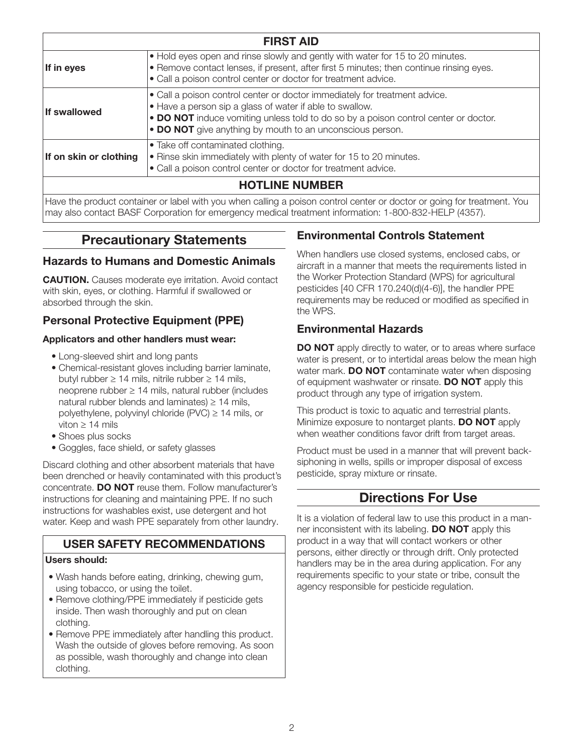| <b>FIRST AID</b>       |                                                                                                                                                                                                                                                                                            |  |  |  |
|------------------------|--------------------------------------------------------------------------------------------------------------------------------------------------------------------------------------------------------------------------------------------------------------------------------------------|--|--|--|
| If in eyes             | • Hold eyes open and rinse slowly and gently with water for 15 to 20 minutes.<br>• Remove contact lenses, if present, after first 5 minutes; then continue rinsing eyes.<br>• Call a poison control center or doctor for treatment advice.                                                 |  |  |  |
| <b>If swallowed</b>    | • Call a poison control center or doctor immediately for treatment advice.<br>• Have a person sip a glass of water if able to swallow.<br>• DO NOT induce vomiting unless told to do so by a poison control center or doctor.<br>• DO NOT give anything by mouth to an unconscious person. |  |  |  |
| If on skin or clothing | • Take off contaminated clothing.<br>• Rinse skin immediately with plenty of water for 15 to 20 minutes.<br>• Call a poison control center or doctor for treatment advice.                                                                                                                 |  |  |  |
|                        | <b>HOTLINE NUMBER</b>                                                                                                                                                                                                                                                                      |  |  |  |
|                        | Have the product container or label with you when calling a poison control center or doctor or going for treatment. You<br>may also contact BASF Corporation for emergency medical treatment information: 1-800-832-HELP (4357).                                                           |  |  |  |

# Precautionary Statements

### Hazards to Humans and Domestic Animals

**CAUTION.** Causes moderate eye irritation. Avoid contact with skin, eyes, or clothing. Harmful if swallowed or absorbed through the skin.

# Personal Protective Equipment (PPE)

#### Applicators and other handlers must wear:

- Long-sleeved shirt and long pants
- Chemical-resistant gloves including barrier laminate, butyl rubber ≥ 14 mils, nitrile rubber ≥ 14 mils, neoprene rubber ≥ 14 mils, natural rubber (includes natural rubber blends and laminates)  $\geq$  14 mils, polyethylene, polyvinyl chloride (PVC) ≥ 14 mils, or viton ≥ 14 mils
- Shoes plus socks
- Goggles, face shield, or safety glasses

Discard clothing and other absorbent materials that have been drenched or heavily contaminated with this product's concentrate. DO NOT reuse them. Follow manufacturer's instructions for cleaning and maintaining PPE. If no such instructions for washables exist, use detergent and hot water. Keep and wash PPE separately from other laundry.

# USER SAFETY RECOMMENDATIONS

#### Users should:

- Wash hands before eating, drinking, chewing gum, using tobacco, or using the toilet.
- Remove clothing/PPE immediately if pesticide gets inside. Then wash thoroughly and put on clean clothing.
- Remove PPE immediately after handling this product. Wash the outside of gloves before removing. As soon as possible, wash thoroughly and change into clean clothing.

# Environmental Controls Statement

When handlers use closed systems, enclosed cabs, or aircraft in a manner that meets the requirements listed in the Worker Protection Standard (WPS) for agricultural pesticides [40 CFR 170.240(d)(4-6)], the handler PPE requirements may be reduced or modified as specified in the WPS.

### Environmental Hazards

DO NOT apply directly to water, or to areas where surface water is present, or to intertidal areas below the mean high water mark. **DO NOT** contaminate water when disposing of equipment washwater or rinsate. **DO NOT** apply this product through any type of irrigation system.

This product is toxic to aquatic and terrestrial plants. Minimize exposure to nontarget plants. DO NOT apply when weather conditions favor drift from target areas.

Product must be used in a manner that will prevent backsiphoning in wells, spills or improper disposal of excess pesticide, spray mixture or rinsate.

# Directions For Use

It is a violation of federal law to use this product in a manner inconsistent with its labeling. DO NOT apply this product in a way that will contact workers or other persons, either directly or through drift. Only protected handlers may be in the area during application. For any requirements specific to your state or tribe, consult the agency responsible for pesticide regulation.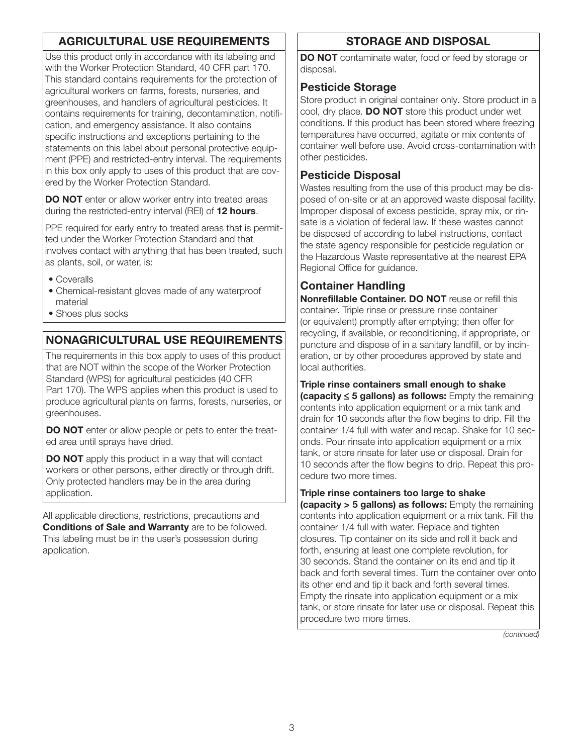# AGRICULTURAL USE REQUIREMENTS

Use this product only in accordance with its labeling and with the Worker Protection Standard, 40 CFR part 170. This standard contains requirements for the protection of agricultural workers on farms, forests, nurseries, and greenhouses, and handlers of agricultural pesticides. It contains requirements for training, decontamination, notification, and emergency assistance. It also contains specific instructions and exceptions pertaining to the statements on this label about personal protective equipment (PPE) and restricted-entry interval. The requirements in this box only apply to uses of this product that are covered by the Worker Protection Standard.

DO NOT enter or allow worker entry into treated areas during the restricted-entry interval (REI) of 12 hours.

PPE required for early entry to treated areas that is permitted under the Worker Protection Standard and that involves contact with anything that has been treated, such as plants, soil, or water, is:

- Coveralls
- Chemical-resistant gloves made of any waterproof material
- Shoes plus socks

# NONAGRICULTURAL USE REQUIREMENTS

The requirements in this box apply to uses of this product that are NOT within the scope of the Worker Protection Standard (WPS) for agricultural pesticides (40 CFR Part 170). The WPS applies when this product is used to produce agricultural plants on farms, forests, nurseries, or greenhouses.

DO NOT enter or allow people or pets to enter the treated area until sprays have dried.

DO NOT apply this product in a way that will contact workers or other persons, either directly or through drift. Only protected handlers may be in the area during application.

All applicable directions, restrictions, precautions and **Conditions of Sale and Warranty** are to be followed. This labeling must be in the user's possession during application.

# STORAGE AND DISPOSAL

DO NOT contaminate water, food or feed by storage or disposal.

### Pesticide Storage

Store product in original container only. Store product in a cool, dry place. DO NOT store this product under wet conditions. If this product has been stored where freezing temperatures have occurred, agitate or mix contents of container well before use. Avoid cross-contamination with other pesticides.

### Pesticide Disposal

Wastes resulting from the use of this product may be disposed of on-site or at an approved waste disposal facility. Improper disposal of excess pesticide, spray mix, or rinsate is a violation of federal law. If these wastes cannot be disposed of according to label instructions, contact the state agency responsible for pesticide regulation or the Hazardous Waste representative at the nearest EPA Regional Office for guidance.

# Container Handling

Nonrefillable Container. DO NOT reuse or refill this container. Triple rinse or pressure rinse container (or equivalent) promptly after emptying; then offer for recycling, if available, or reconditioning, if appropriate, or puncture and dispose of in a sanitary landfill, or by incineration, or by other procedures approved by state and local authorities.

Triple rinse containers small enough to shake (capacity ≤ 5 gallons) as follows: Empty the remaining contents into application equipment or a mix tank and drain for 10 seconds after the flow begins to drip. Fill the container 1/4 full with water and recap. Shake for 10 seconds. Pour rinsate into application equipment or a mix tank, or store rinsate for later use or disposal. Drain for 10 seconds after the flow begins to drip. Repeat this procedure two more times.

#### Triple rinse containers too large to shake

(capacity > 5 gallons) as follows: Empty the remaining contents into application equipment or a mix tank. Fill the container 1/4 full with water. Replace and tighten closures. Tip container on its side and roll it back and forth, ensuring at least one complete revolution, for 30 seconds. Stand the container on its end and tip it back and forth several times. Turn the container over onto its other end and tip it back and forth several times. Empty the rinsate into application equipment or a mix tank, or store rinsate for later use or disposal. Repeat this procedure two more times.

*(continued)*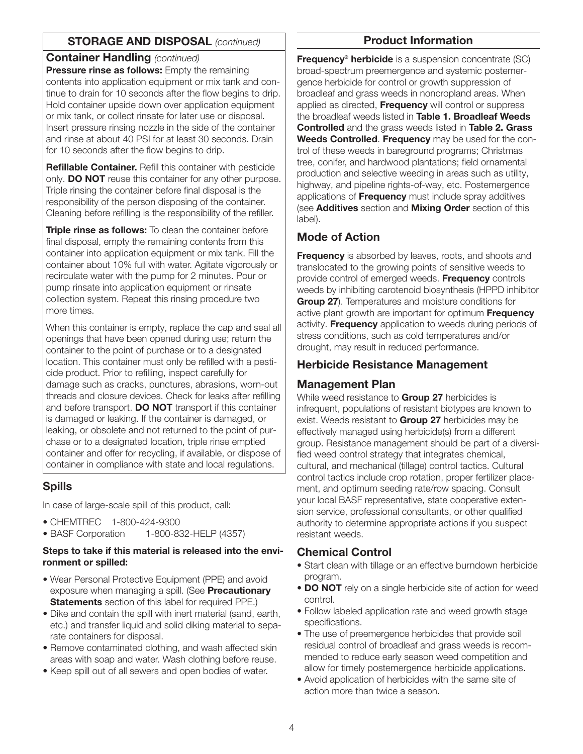### STORAGE AND DISPOSAL *(continued)*

#### Container Handling *(continued)*

**Pressure rinse as follows:** Empty the remaining contents into application equipment or mix tank and continue to drain for 10 seconds after the flow begins to drip. Hold container upside down over application equipment or mix tank, or collect rinsate for later use or disposal. Insert pressure rinsing nozzle in the side of the container and rinse at about 40 PSI for at least 30 seconds. Drain for 10 seconds after the flow begins to drip.

Refillable Container. Refill this container with pesticide only. **DO NOT** reuse this container for any other purpose. Triple rinsing the container before final disposal is the responsibility of the person disposing of the container. Cleaning before refilling is the responsibility of the refiller.

Triple rinse as follows: To clean the container before final disposal, empty the remaining contents from this container into application equipment or mix tank. Fill the container about 10% full with water. Agitate vigorously or recirculate water with the pump for 2 minutes. Pour or pump rinsate into application equipment or rinsate collection system. Repeat this rinsing procedure two more times.

When this container is empty, replace the cap and seal all openings that have been opened during use; return the container to the point of purchase or to a designated location. This container must only be refilled with a pesticide product. Prior to refilling, inspect carefully for damage such as cracks, punctures, abrasions, worn-out threads and closure devices. Check for leaks after refilling and before transport. **DO NOT** transport if this container is damaged or leaking. If the container is damaged, or leaking, or obsolete and not returned to the point of purchase or to a designated location, triple rinse emptied container and offer for recycling, if available, or dispose of container in compliance with state and local regulations.

### Spills

In case of large-scale spill of this product, call:

- CHEMTREC 1-800-424-9300
- BASF Corporation 1-800-832-HELP (4357)

#### Steps to take if this material is released into the environment or spilled:

- Wear Personal Protective Equipment (PPE) and avoid exposure when managing a spill. (See Precautionary **Statements** section of this label for required PPE.)
- Dike and contain the spill with inert material (sand, earth, etc.) and transfer liquid and solid diking material to separate containers for disposal.
- Remove contaminated clothing, and wash affected skin areas with soap and water. Wash clothing before reuse.
- Keep spill out of all sewers and open bodies of water.

#### Product Information

**Frequency<sup>®</sup> herbicide** is a suspension concentrate (SC) broad-spectrum preemergence and systemic postemergence herbicide for control or growth suppression of broadleaf and grass weeds in noncropland areas. When applied as directed, Frequency will control or suppress the broadleaf weeds listed in Table 1. Broadleaf Weeds **Controlled** and the grass weeds listed in Table 2. Grass Weeds Controlled. Frequency may be used for the control of these weeds in bareground programs; Christmas tree, conifer, and hardwood plantations; field ornamental production and selective weeding in areas such as utility, highway, and pipeline rights-of-way, etc. Postemergence applications of **Frequency** must include spray additives (see **Additives** section and **Mixing Order** section of this label).

### Mode of Action

**Frequency** is absorbed by leaves, roots, and shoots and translocated to the growing points of sensitive weeds to provide control of emerged weeds. Frequency controls weeds by inhibiting carotenoid biosynthesis (HPPD inhibitor Group 27). Temperatures and moisture conditions for active plant growth are important for optimum **Frequency** activity. Frequency application to weeds during periods of stress conditions, such as cold temperatures and/or drought, may result in reduced performance.

# Herbicide Resistance Management

### Management Plan

While weed resistance to **Group 27** herbicides is infrequent, populations of resistant biotypes are known to exist. Weeds resistant to **Group 27** herbicides may be effectively managed using herbicide(s) from a different group. Resistance management should be part of a diversified weed control strategy that integrates chemical, cultural, and mechanical (tillage) control tactics. Cultural control tactics include crop rotation, proper fertilizer placement, and optimum seeding rate/row spacing. Consult your local BASF representative, state cooperative extension service, professional consultants, or other qualified authority to determine appropriate actions if you suspect resistant weeds.

### Chemical Control

- Start clean with tillage or an effective burndown herbicide program.
- DO NOT rely on a single herbicide site of action for weed control.
- Follow labeled application rate and weed growth stage specifications.
- The use of preemergence herbicides that provide soil residual control of broadleaf and grass weeds is recommended to reduce early season weed competition and allow for timely postemergence herbicide applications.
- Avoid application of herbicides with the same site of action more than twice a season.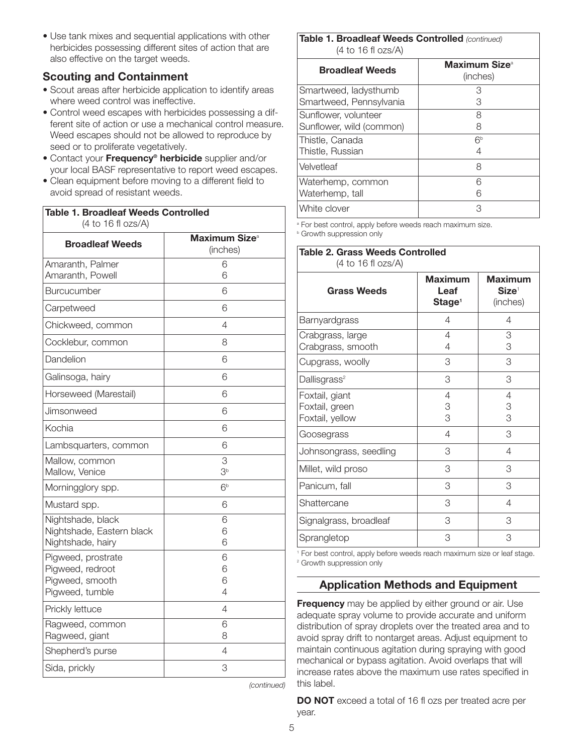• Use tank mixes and sequential applications with other herbicides possessing different sites of action that are also effective on the target weeds.

### Scouting and Containment

- Scout areas after herbicide application to identify areas where weed control was ineffective.
- Control weed escapes with herbicides possessing a different site of action or use a mechanical control measure. Weed escapes should not be allowed to reproduce by seed or to proliferate vegetatively.
- Contact your Frequency® herbicide supplier and/or your local BASF representative to report weed escapes.
- Clean equipment before moving to a different field to avoid spread of resistant weeds.

| <b>Broadleaf Weeds</b>             | Maximum Size <sup>a</sup><br>(inches) |  |
|------------------------------------|---------------------------------------|--|
| Amaranth, Palmer                   | 6                                     |  |
| Amaranth, Powell                   | 6                                     |  |
| Burcucumber                        | 6                                     |  |
| Carpetweed                         | 6                                     |  |
| Chickweed, common                  | 4                                     |  |
| Cocklebur, common                  | 8                                     |  |
| Dandelion                          | 6                                     |  |
| Galinsoga, hairy                   | 6                                     |  |
| Horseweed (Marestail)              | 6                                     |  |
| Jimsonweed                         | 6                                     |  |
| Kochia                             | 6                                     |  |
| Lambsquarters, common              | 6                                     |  |
| Mallow, common                     | 3                                     |  |
| Mallow, Venice                     | 3 <sup>b</sup>                        |  |
| Morningglory spp.                  | 6 <sup>b</sup>                        |  |
| Mustard spp.                       | 6                                     |  |
| Nightshade, black                  | 6                                     |  |
| Nightshade, Eastern black          | 6                                     |  |
| Nightshade, hairy                  | 6                                     |  |
| Pigweed, prostrate                 | 6                                     |  |
| Pigweed, redroot                   | 6                                     |  |
| Pigweed, smooth<br>Pigweed, tumble | 6<br>4                                |  |
|                                    |                                       |  |
| Prickly lettuce                    | 4                                     |  |
| Ragweed, common                    | 6                                     |  |
| Ragweed, giant                     | 8                                     |  |
| Shepherd's purse                   | 4                                     |  |
| Sida, prickly                      | 3                                     |  |

#### Table 1. Broadleaf Weeds Controlled *(continued)* (4 to 16 fl ozs/A)

| <b>Maximum Size</b> <sup>a</sup><br>(inches) |  |  |  |  |  |
|----------------------------------------------|--|--|--|--|--|
| З                                            |  |  |  |  |  |
| 3                                            |  |  |  |  |  |
| 8                                            |  |  |  |  |  |
| 8                                            |  |  |  |  |  |
| 6 <sup>b</sup>                               |  |  |  |  |  |
| 4                                            |  |  |  |  |  |
| 8                                            |  |  |  |  |  |
| 6                                            |  |  |  |  |  |
| ട                                            |  |  |  |  |  |
| З                                            |  |  |  |  |  |
|                                              |  |  |  |  |  |

<sup>a</sup> For best control, apply before weeds reach maximum size. **b** Growth suppression only

| <b>Table 2. Grass Weeds Controlled</b><br>(4 to 16 f 0zs/A) |                                              |                                                 |  |  |
|-------------------------------------------------------------|----------------------------------------------|-------------------------------------------------|--|--|
| <b>Grass Weeds</b>                                          | <b>Maximum</b><br>Leaf<br>Stage <sup>1</sup> | <b>Maximum</b><br>$\mathbf{Size}^1$<br>(inches) |  |  |
| Barnyardgrass                                               | 4                                            | 4                                               |  |  |
| Crabgrass, large<br>Crabgrass, smooth                       | 4<br>4                                       | 3<br>3                                          |  |  |
| Cupgrass, woolly                                            | 3                                            | 3                                               |  |  |
| Dallisgrass <sup>2</sup>                                    | 3                                            | 3                                               |  |  |
| Foxtail, giant<br>Foxtail, green<br>Foxtail, yellow         | 4<br>3<br>3                                  | 4<br>3<br>3                                     |  |  |
| Goosegrass                                                  | 4                                            | 3                                               |  |  |
| Johnsongrass, seedling                                      | 3                                            | 4                                               |  |  |
| Millet, wild proso                                          | 3                                            | 3                                               |  |  |
| Panicum, fall                                               | 3                                            | 3                                               |  |  |
| Shattercane                                                 | 3                                            | 4                                               |  |  |
| Signalgrass, broadleaf                                      | 3                                            | 3                                               |  |  |
| Sprangletop                                                 | 3                                            | 3                                               |  |  |

<sup>1</sup> For best control, apply before weeds reach maximum size or leaf stage. <sup>2</sup> Growth suppression only

# Application Methods and Equipment

Frequency may be applied by either ground or air. Use adequate spray volume to provide accurate and uniform distribution of spray droplets over the treated area and to avoid spray drift to nontarget areas. Adjust equipment to maintain continuous agitation during spraying with good mechanical or bypass agitation. Avoid overlaps that will increase rates above the maximum use rates specified in this label.

DO NOT exceed a total of 16 fl ozs per treated acre per year.

5

*(continued)*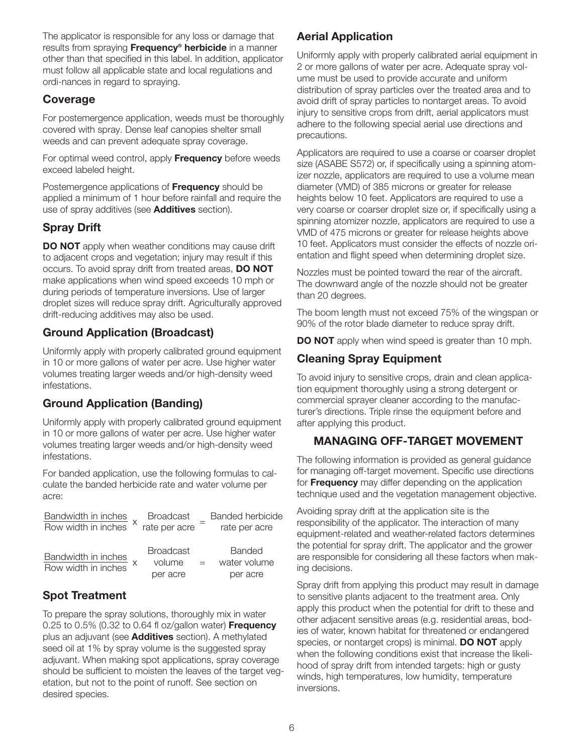The applicator is responsible for any loss or damage that results from spraying Frequency® herbicide in a manner other than that specified in this label. In addition, applicator must follow all applicable state and local regulations and ordi-nances in regard to spraying.

### Coverage

For postemergence application, weeds must be thoroughly covered with spray. Dense leaf canopies shelter small weeds and can prevent adequate spray coverage.

For optimal weed control, apply **Frequency** before weeds exceed labeled height.

Postemergence applications of **Frequency** should be applied a minimum of 1 hour before rainfall and require the use of spray additives (see **Additives** section).

# Spray Drift

**DO NOT** apply when weather conditions may cause drift to adjacent crops and vegetation; injury may result if this occurs. To avoid spray drift from treated areas, DO NOT make applications when wind speed exceeds 10 mph or during periods of temperature inversions. Use of larger droplet sizes will reduce spray drift. Agriculturally approved drift-reducing additives may also be used.

# Ground Application (Broadcast)

Uniformly apply with properly calibrated ground equipment in 10 or more gallons of water per acre. Use higher water volumes treating larger weeds and/or high-density weed infestations.

# Ground Application (Banding)

Uniformly apply with properly calibrated ground equipment in 10 or more gallons of water per acre. Use higher water volumes treating larger weeds and/or high-density weed infestations.

For banded application, use the following formulas to calculate the banded herbicide rate and water volume per acre:

| Bandwidth in inches<br>Row width in inches | <b>Broadcast</b> |     | Banded herbicide |
|--------------------------------------------|------------------|-----|------------------|
|                                            | rate per acre    |     | rate per acre    |
|                                            |                  |     |                  |
|                                            | <b>Broadcast</b> |     | Banded           |
| Bandwidth in inches<br>Row width in inches | volume           | $=$ | water volume     |
|                                            | per acre         |     | per acre         |

# Spot Treatment

To prepare the spray solutions, thoroughly mix in water 0.25 to 0.5% (0.32 to 0.64 fl oz/gallon water) **Frequency** plus an adjuvant (see **Additives** section). A methylated seed oil at 1% by spray volume is the suggested spray adjuvant. When making spot applications, spray coverage should be sufficient to moisten the leaves of the target vegetation, but not to the point of runoff. See section on desired species.

# Aerial Application

Uniformly apply with properly calibrated aerial equipment in 2 or more gallons of water per acre. Adequate spray volume must be used to provide accurate and uniform distribution of spray particles over the treated area and to avoid drift of spray particles to nontarget areas. To avoid injury to sensitive crops from drift, aerial applicators must adhere to the following special aerial use directions and precautions.

Applicators are required to use a coarse or coarser droplet size (ASABE S572) or, if specifically using a spinning atomizer nozzle, applicators are required to use a volume mean diameter (VMD) of 385 microns or greater for release heights below 10 feet. Applicators are required to use a very coarse or coarser droplet size or, if specifically using a spinning atomizer nozzle, applicators are required to use a VMD of 475 microns or greater for release heights above 10 feet. Applicators must consider the effects of nozzle orientation and flight speed when determining droplet size.

Nozzles must be pointed toward the rear of the aircraft. The downward angle of the nozzle should not be greater than 20 degrees.

The boom length must not exceed 75% of the wingspan or 90% of the rotor blade diameter to reduce spray drift.

**DO NOT** apply when wind speed is greater than 10 mph.

# Cleaning Spray Equipment

To avoid injury to sensitive crops, drain and clean application equipment thoroughly using a strong detergent or commercial sprayer cleaner according to the manufac turer's directions. Triple rinse the equipment before and after applying this product.

# MANAGING OFF-TARGET MOVEMENT

The following information is provided as general guidance for managing off-target movement. Specific use directions for **Frequency** may differ depending on the application technique used and the vegetation management objective.

Avoiding spray drift at the application site is the responsibility of the applicator. The interaction of many equipment-related and weather-related factors determines the potential for spray drift. The applicator and the grower are responsible for considering all these factors when making decisions.

Spray drift from applying this product may result in damage to sensitive plants adjacent to the treatment area. Only apply this product when the potential for drift to these and other adjacent sensitive areas (e.g. residential areas, bodies of water, known habitat for threatened or endangered species, or nontarget crops) is minimal. DO NOT apply when the following conditions exist that increase the likelihood of spray drift from intended targets: high or gusty winds, high temperatures, low humidity, temperature inversions.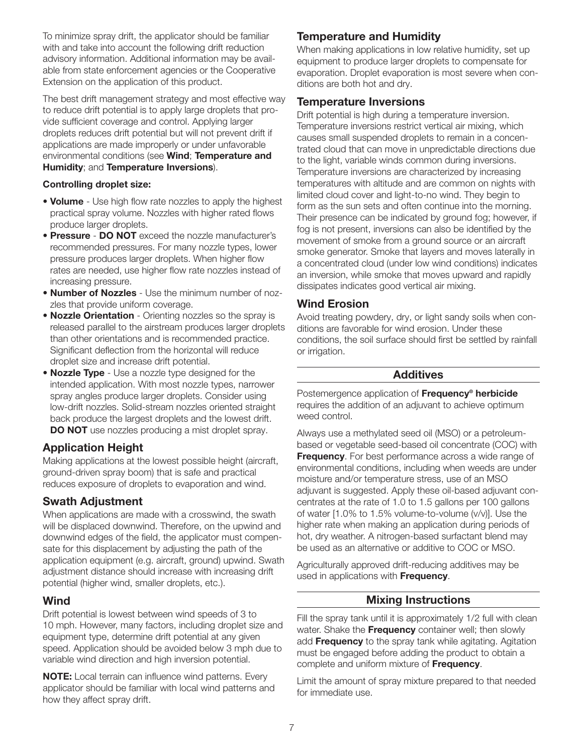To minimize spray drift, the applicator should be familiar with and take into account the following drift reduction advisory information. Additional information may be available from state enforcement agencies or the Cooperative Extension on the application of this product.

The best drift management strategy and most effective way to reduce drift potential is to apply large droplets that provide sufficient coverage and control. Applying larger droplets reduces drift potential but will not prevent drift if applications are made improperly or under unfavorable environmental conditions (see Wind; Temperature and Humidity; and Temperature Inversions).

#### Controlling droplet size:

- Volume Use high flow rate nozzles to apply the highest practical spray volume. Nozzles with higher rated flows produce larger droplets.
- Pressure DO NOT exceed the nozzle manufacturer's recommended pressures. For many nozzle types, lower pressure produces larger droplets. When higher flow rates are needed, use higher flow rate nozzles instead of increasing pressure.
- Number of Nozzles Use the minimum number of nozzles that provide uniform coverage.
- Nozzle Orientation Orienting nozzles so the spray is released parallel to the airstream produces larger droplets than other orientations and is recommended practice. Significant deflection from the horizontal will reduce droplet size and increase drift potential.
- **Nozzle Type** Use a nozzle type designed for the intended application. With most nozzle types, narrower spray angles produce larger droplets. Consider using low-drift nozzles. Solid-stream nozzles oriented straight back produce the largest droplets and the lowest drift. DO NOT use nozzles producing a mist droplet spray.

# Application Height

Making applications at the lowest possible height (aircraft, ground-driven spray boom) that is safe and practical reduces exposure of droplets to evaporation and wind.

### Swath Adjustment

When applications are made with a crosswind, the swath will be displaced downwind. Therefore, on the upwind and downwind edges of the field, the applicator must compensate for this displacement by adjusting the path of the application equipment (e.g. aircraft, ground) upwind. Swath adjustment distance should increase with increasing drift potential (higher wind, smaller droplets, etc.).

### Wind

Drift potential is lowest between wind speeds of 3 to 10 mph. However, many factors, including droplet size and equipment type, determine drift potential at any given speed. Application should be avoided below 3 mph due to variable wind direction and high inversion potential.

NOTE: Local terrain can influence wind patterns. Every applicator should be familiar with local wind patterns and how they affect spray drift.

### Temperature and Humidity

When making applications in low relative humidity, set up equipment to produce larger droplets to compensate for evaporation. Droplet evaporation is most severe when conditions are both hot and dry.

### Temperature Inversions

Drift potential is high during a temperature inversion. Temperature inversions restrict vertical air mixing, which causes small suspended droplets to remain in a concentrated cloud that can move in unpredictable directions due to the light, variable winds common during inversions. Temperature inversions are characterized by increasing temperatures with altitude and are common on nights with limited cloud cover and light-to-no wind. They begin to form as the sun sets and often continue into the morning. Their presence can be indicated by ground fog; however, if fog is not present, inversions can also be identified by the movement of smoke from a ground source or an aircraft smoke generator. Smoke that layers and moves laterally in a concentrated cloud (under low wind conditions) indicates an inversion, while smoke that moves upward and rapidly dissipates indicates good vertical air mixing.

### Wind Erosion

Avoid treating powdery, dry, or light sandy soils when conditions are favorable for wind erosion. Under these conditions, the soil surface should first be settled by rainfall or irrigation.

### Additives

Postemergence application of Frequency<sup>®</sup> herbicide requires the addition of an adjuvant to achieve optimum weed control.

Always use a methylated seed oil (MSO) or a petroleumbased or vegetable seed-based oil concentrate (COC) with **Frequency**. For best performance across a wide range of environmental conditions, including when weeds are under moisture and/or temperature stress, use of an MSO adjuvant is suggested. Apply these oil-based adjuvant concentrates at the rate of 1.0 to 1.5 gallons per 100 gallons of water [1.0% to 1.5% volume-to-volume (v/v)]. Use the higher rate when making an application during periods of hot, dry weather. A nitrogen-based surfactant blend may be used as an alternative or additive to COC or MSO.

Agriculturally approved drift-reducing additives may be used in applications with **Frequency**.

### Mixing Instructions

Fill the spray tank until it is approximately 1/2 full with clean water. Shake the Frequency container well; then slowly add Frequency to the spray tank while agitating. Agitation must be engaged before adding the product to obtain a complete and uniform mixture of Frequency.

Limit the amount of spray mixture prepared to that needed for immediate use.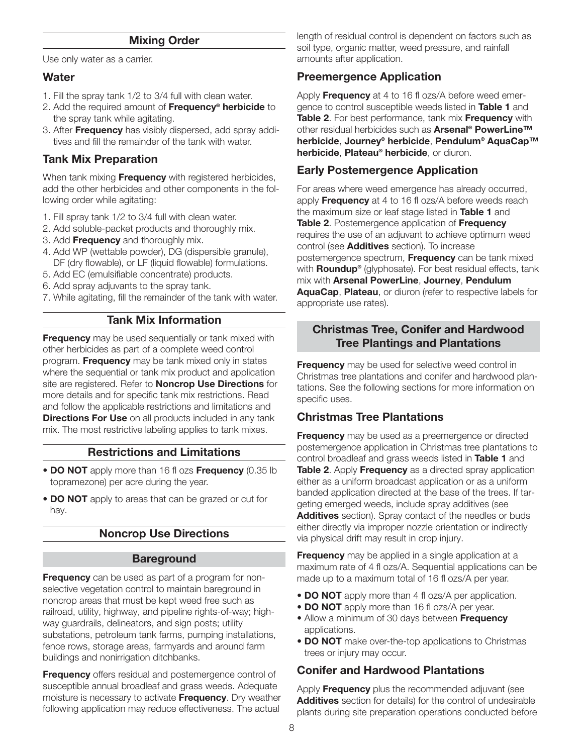#### Mixing Order

Use only water as a carrier.

#### **Water**

- 1. Fill the spray tank 1/2 to 3/4 full with clean water.
- 2. Add the required amount of Frequency<sup>®</sup> herbicide to the spray tank while agitating.
- 3. After **Frequency** has visibly dispersed, add spray additives and fill the remainder of the tank with water.

### Tank Mix Preparation

When tank mixing Frequency with registered herbicides, add the other herbicides and other components in the following order while agitating:

- 1. Fill spray tank 1/2 to 3/4 full with clean water.
- 2. Add soluble-packet products and thoroughly mix.
- 3. Add Frequency and thoroughly mix.
- 4. Add WP (wettable powder), DG (dispersible granule), DF (dry flowable), or LF (liquid flowable) formulations.
- 5. Add EC (emulsifiable concentrate) products.
- 6. Add spray adjuvants to the spray tank.
- 7. While agitating, fill the remainder of the tank with water.

### Tank Mix Information

**Frequency** may be used sequentially or tank mixed with other herbicides as part of a complete weed control program. Frequency may be tank mixed only in states where the sequential or tank mix product and application site are registered. Refer to **Noncrop Use Directions** for more details and for specific tank mix restrictions. Read and follow the applicable restrictions and limitations and **Directions For Use** on all products included in any tank mix. The most restrictive labeling applies to tank mixes.

#### Restrictions and Limitations

- DO NOT apply more than 16 fl ozs Frequency (0.35 lb topramezone) per acre during the year.
- DO NOT apply to areas that can be grazed or cut for hay.

### Noncrop Use Directions

#### **Bareground**

**Frequency** can be used as part of a program for nonselective vegetation control to maintain bareground in noncrop areas that must be kept weed free such as railroad, utility, highway, and pipeline rights-of-way; highway guardrails, delineators, and sign posts; utility substations, petroleum tank farms, pumping installations, fence rows, storage areas, farmyards and around farm buildings and nonirrigation ditchbanks.

Frequency offers residual and postemergence control of susceptible annual broadleaf and grass weeds. Adequate moisture is necessary to activate Frequency. Dry weather following application may reduce effectiveness. The actual

length of residual control is dependent on factors such as soil type, organic matter, weed pressure, and rainfall amounts after application.

### Preemergence Application

Apply Frequency at 4 to 16 fl ozs/A before weed emergence to control susceptible weeds listed in Table 1 and Table 2. For best performance, tank mix Frequency with other residual herbicides such as **Arsenal<sup>®</sup> PowerLine™** herbicide, Journey® herbicide, Pendulum® AquaCap™ herbicide, Plateau® herbicide, or diuron.

### Early Postemergence Application

For areas where weed emergence has already occurred, apply **Frequency** at 4 to 16 fl ozs/A before weeds reach the maximum size or leaf stage listed in Table 1 and Table 2. Postemergence application of Frequency requires the use of an adjuvant to achieve optimum weed control (see **Additives** section). To increase postemergence spectrum, Frequency can be tank mixed with **Roundup**<sup>®</sup> (glyphosate). For best residual effects, tank mix with Arsenal PowerLine, Journey, Pendulum AquaCap, Plateau, or diuron (refer to respective labels for appropriate use rates).

### Christmas Tree, Conifer and Hardwood Tree Plantings and Plantations

**Frequency** may be used for selective weed control in Christmas tree plantations and conifer and hardwood plantations. See the following sections for more information on specific uses.

### Christmas Tree Plantations

**Frequency** may be used as a preemergence or directed postemergence application in Christmas tree plantations to control broadleaf and grass weeds listed in Table 1 and Table 2. Apply Frequency as a directed spray application either as a uniform broadcast application or as a uniform banded application directed at the base of the trees. If targeting emerged weeds, include spray additives (see Additives section). Spray contact of the needles or buds either directly via improper nozzle orientation or indirectly via physical drift may result in crop injury.

**Frequency** may be applied in a single application at a maximum rate of 4 fl ozs/A. Sequential applications can be made up to a maximum total of 16 fl ozs/A per year.

- DO NOT apply more than 4 fl ozs/A per application.
- DO NOT apply more than 16 fl ozs/A per year.
- Allow a minimum of 30 days between Frequency applications.
- DO NOT make over-the-top applications to Christmas trees or injury may occur.

# Conifer and Hardwood Plantations

Apply **Frequency** plus the recommended adjuvant (see Additives section for details) for the control of undesirable plants during site preparation operations conducted before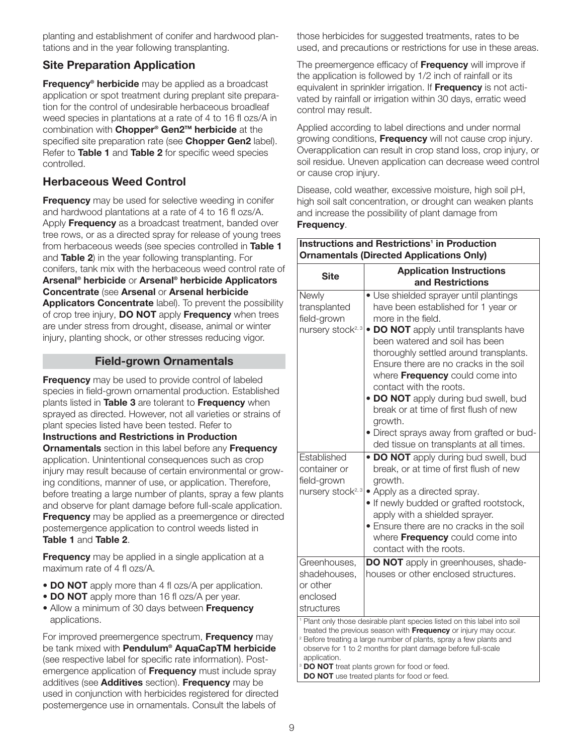planting and establishment of conifer and hardwood plantations and in the year following transplanting.

# Site Preparation Application

Frequency<sup>®</sup> herbicide may be applied as a broadcast application or spot treatment during preplant site preparation for the control of undesirable herbaceous broadleaf weed species in plantations at a rate of 4 to 16 fl ozs/A in combination with Chopper<sup>®</sup> Gen2<sup>™</sup> herbicide at the specified site preparation rate (see Chopper Gen2 label). Refer to Table 1 and Table 2 for specific weed species controlled.

# Herbaceous Weed Control

**Frequency** may be used for selective weeding in conifer and hardwood plantations at a rate of 4 to 16 fl ozs/A. Apply **Frequency** as a broadcast treatment, banded over tree rows, or as a directed spray for release of young trees from herbaceous weeds (see species controlled in Table 1 and Table 2) in the year following transplanting. For conifers, tank mix with the herbaceous weed control rate of Arsenal® herbicide or Arsenal® herbicide Applicators Concentrate (see Arsenal or Arsenal herbicide Applicators Concentrate label). To prevent the possibility of crop tree injury, DO NOT apply Frequency when trees are under stress from drought, disease, animal or winter injury, planting shock, or other stresses reducing vigor.

### Field-grown Ornamentals

**Frequency** may be used to provide control of labeled species in field-grown ornamental production. Established plants listed in Table 3 are tolerant to Frequency when sprayed as directed. However, not all varieties or strains of plant species listed have been tested. Refer to Instructions and Restrictions in Production **Ornamentals** section in this label before any **Frequency** application. Unintentional consequences such as crop injury may result because of certain environmental or growing conditions, manner of use, or application. Therefore, before treating a large number of plants, spray a few plants and observe for plant damage before full-scale application. **Frequency** may be applied as a preemergence or directed postemergence application to control weeds listed in Table 1 and Table 2.

**Frequency** may be applied in a single application at a maximum rate of 4 fl ozs/A.

- **DO NOT** apply more than 4 fl ozs/A per application.
- DO NOT apply more than 16 fl ozs/A per year.
- Allow a minimum of 30 days between Frequency applications.

For improved preemergence spectrum, **Frequency** may be tank mixed with **Pendulum<sup>®</sup> AquaCapTM herbicide** (see respective label for specific rate information). Postemergence application of Frequency must include spray additives (see **Additives** section). Frequency may be used in conjunction with herbicides registered for directed postemergence use in ornamentals. Consult the labels of

those herbicides for suggested treatments, rates to be used, and precautions or restrictions for use in these areas.

The preemergence efficacy of **Frequency** will improve if the application is followed by 1/2 inch of rainfall or its equivalent in sprinkler irrigation. If **Frequency** is not activated by rainfall or irrigation within 30 days, erratic weed control may result.

Applied according to label directions and under normal growing conditions, Frequency will not cause crop injury. Overapplication can result in crop stand loss, crop injury, or soil residue. Uneven application can decrease weed control or cause crop injury.

Disease, cold weather, excessive moisture, high soil pH, high soil salt concentration, or drought can weaken plants and increase the possibility of plant damage from Frequency.

| <b>Instructions and Restrictions<sup>1</sup> in Production</b><br><b>Ornamentals (Directed Applications Only)</b>                                                                                                                                                                                                                                                                                                                          |                                                                                                                                                                                                                                                                                                                                                                                                                                                                                                                       |  |  |  |
|--------------------------------------------------------------------------------------------------------------------------------------------------------------------------------------------------------------------------------------------------------------------------------------------------------------------------------------------------------------------------------------------------------------------------------------------|-----------------------------------------------------------------------------------------------------------------------------------------------------------------------------------------------------------------------------------------------------------------------------------------------------------------------------------------------------------------------------------------------------------------------------------------------------------------------------------------------------------------------|--|--|--|
| <b>Site</b>                                                                                                                                                                                                                                                                                                                                                                                                                                | <b>Application Instructions</b><br>and Restrictions                                                                                                                                                                                                                                                                                                                                                                                                                                                                   |  |  |  |
| Newly<br>transplanted<br>field-grown<br>nursery stock <sup>2, 3</sup>                                                                                                                                                                                                                                                                                                                                                                      | • Use shielded sprayer until plantings<br>have been established for 1 year or<br>more in the field.<br>• DO NOT apply until transplants have<br>been watered and soil has been<br>thoroughly settled around transplants.<br>Ensure there are no cracks in the soil<br>where Frequency could come into<br>contact with the roots.<br>• DO NOT apply during bud swell, bud<br>break or at time of first flush of new<br>arowth.<br>• Direct sprays away from grafted or bud-<br>ded tissue on transplants at all times. |  |  |  |
| Established<br>container or<br>field-grown<br>nursery stock <sup>2, 3</sup>                                                                                                                                                                                                                                                                                                                                                                | • DO NOT apply during bud swell, bud<br>break, or at time of first flush of new<br>growth.<br>• Apply as a directed spray.<br>. If newly budded or grafted rootstock,<br>apply with a shielded sprayer.<br>• Ensure there are no cracks in the soil<br>where Frequency could come into<br>contact with the roots.                                                                                                                                                                                                     |  |  |  |
| Greenhouses,<br>shadehouses,<br>or other<br>enclosed<br>structures                                                                                                                                                                                                                                                                                                                                                                         | <b>DO NOT</b> apply in greenhouses, shade-<br>houses or other enclosed structures.                                                                                                                                                                                                                                                                                                                                                                                                                                    |  |  |  |
| <sup>1</sup> Plant only those desirable plant species listed on this label into soil<br>treated the previous season with Frequency or injury may occur.<br><sup>2</sup> Before treating a large number of plants, spray a few plants and<br>observe for 1 to 2 months for plant damage before full-scale<br>application.<br><sup>3</sup> DO NOT treat plants grown for food or feed.<br><b>DO NOT</b> use treated plants for food or feed. |                                                                                                                                                                                                                                                                                                                                                                                                                                                                                                                       |  |  |  |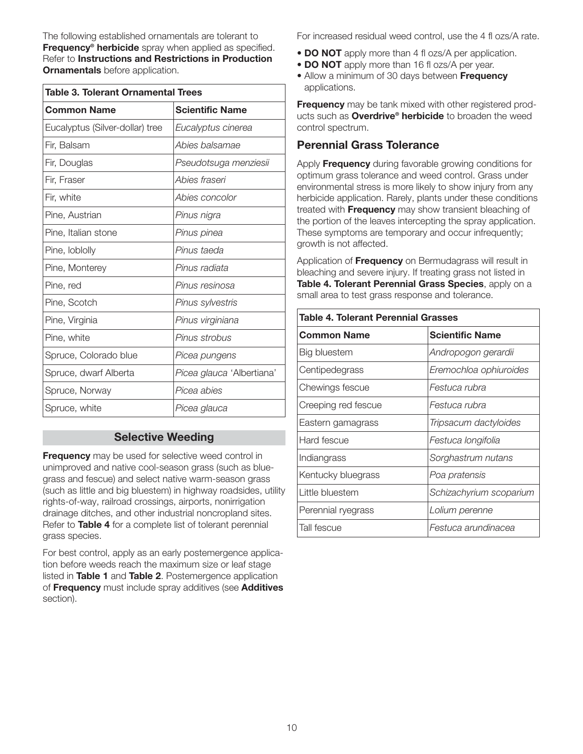The following established ornamentals are tolerant to Frequency<sup>®</sup> herbicide spray when applied as specified. Refer to Instructions and Restrictions in Production **Ornamentals** before application.

| <b>Table 3. Tolerant Ornamental Trees</b> |                           |  |  |  |
|-------------------------------------------|---------------------------|--|--|--|
| <b>Common Name</b>                        | <b>Scientific Name</b>    |  |  |  |
| Eucalyptus (Silver-dollar) tree           | Eucalyptus cinerea        |  |  |  |
| Fir, Balsam                               | Abies balsamae            |  |  |  |
| Fir, Douglas                              | Pseudotsuga menziesii     |  |  |  |
| Fir, Fraser                               | Abies fraseri             |  |  |  |
| Fir, white                                | Abies concolor            |  |  |  |
| Pine, Austrian                            | Pinus nigra               |  |  |  |
| Pine, Italian stone                       | Pinus pinea               |  |  |  |
| Pine, loblolly                            | Pinus taeda               |  |  |  |
| Pine, Monterey                            | Pinus radiata             |  |  |  |
| Pine, red                                 | Pinus resinosa            |  |  |  |
| Pine, Scotch                              | Pinus sylvestris          |  |  |  |
| Pine, Virginia                            | Pinus virginiana          |  |  |  |
| Pine, white                               | Pinus strobus             |  |  |  |
| Spruce, Colorado blue                     | Picea pungens             |  |  |  |
| Spruce, dwarf Alberta                     | Picea glauca 'Albertiana' |  |  |  |
| Spruce, Norway                            | Picea abies               |  |  |  |
| Spruce, white                             | Picea glauca              |  |  |  |

### Selective Weeding

Frequency may be used for selective weed control in unimproved and native cool-season grass (such as bluegrass and fescue) and select native warm-season grass (such as little and big bluestem) in highway roadsides, utility rights-of-way, railroad crossings, airports, nonirrigation drainage ditches, and other industrial noncropland sites. Refer to Table 4 for a complete list of tolerant perennial grass species.

For best control, apply as an early postemergence application before weeds reach the maximum size or leaf stage listed in Table 1 and Table 2. Postemergence application of Frequency must include spray additives (see Additives section).

For increased residual weed control, use the 4 fl ozs/A rate.

- **DO NOT** apply more than 4 fl ozs/A per application.
- DO NOT apply more than 16 fl ozs/A per year.
- Allow a minimum of 30 days between **Frequency** applications.

Frequency may be tank mixed with other registered products such as **Overdrive<sup>®</sup> herbicide** to broaden the weed control spectrum.

### Perennial Grass Tolerance

Apply **Frequency** during favorable growing conditions for optimum grass tolerance and weed control. Grass under environmental stress is more likely to show injury from any herbicide application. Rarely, plants under these conditions treated with Frequency may show transient bleaching of the portion of the leaves intercepting the spray application. These symptoms are temporary and occur infrequently; growth is not affected.

Application of **Frequency** on Bermudagrass will result in bleaching and severe injury. If treating grass not listed in Table 4. Tolerant Perennial Grass Species, apply on a small area to test grass response and tolerance.

| <b>Table 4. Tolerant Perennial Grasses</b> |                         |  |  |  |
|--------------------------------------------|-------------------------|--|--|--|
| <b>Common Name</b>                         | <b>Scientific Name</b>  |  |  |  |
| Big bluestem                               | Andropogon gerardii     |  |  |  |
| Centipedegrass                             | Eremochloa ophiuroides  |  |  |  |
| Chewings fescue                            | Festuca rubra           |  |  |  |
| Creeping red fescue                        | Festuca rubra           |  |  |  |
| Eastern gamagrass                          | Tripsacum dactyloides   |  |  |  |
| Hard fescue                                | Festuca longifolia      |  |  |  |
| Indiangrass                                | Sorghastrum nutans      |  |  |  |
| Kentucky bluegrass                         | Poa pratensis           |  |  |  |
| Little bluestem                            | Schizachyrium scoparium |  |  |  |
| Perennial ryegrass                         | Lolium perenne          |  |  |  |
| Tall fescue                                | Festuca arundinacea     |  |  |  |